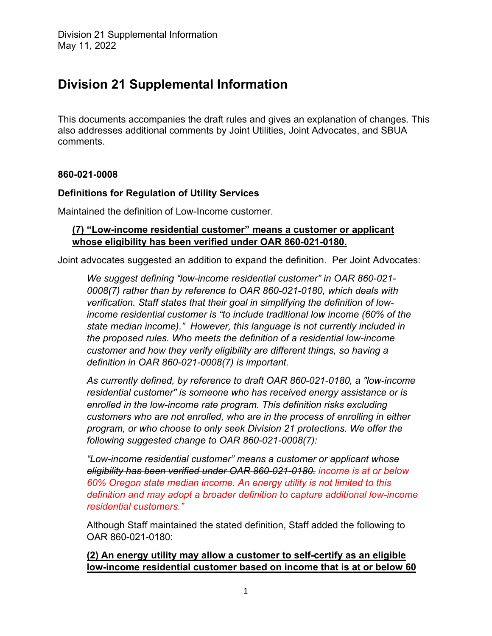This documents accompanies the draft rules and gives an explanation of changes. This also addresses additional comments by Joint Utilities, Joint Advocates, and SBUA comments.

## **860-021-0008**

## **Definitions for Regulation of Utility Services**

Maintained the definition of Low-Income customer.

## **(7) "Low-income residential customer" means a customer or applicant whose eligibility has been verified under OAR 860-021-0180.**

Joint advocates suggested an addition to expand the definition. Per Joint Advocates:

*We suggest defining "low-income residential customer" in OAR 860-021- 0008(7) rather than by reference to OAR 860-021-0180, which deals with verification. Staff states that their goal in simplifying the definition of lowincome residential customer is "to include traditional low income (60% of the state median income)." However, this language is not currently included in the proposed rules. Who meets the definition of a residential low-income customer and how they verify eligibility are different things, so having a definition in OAR 860-021-0008(7) is important.*

*As currently defined, by reference to draft OAR 860-021-0180, a "low-income residential customer" is someone who has received energy assistance or is enrolled in the low-income rate program. This definition risks excluding customers who are not enrolled, who are in the process of enrolling in either program, or who choose to only seek Division 21 protections. We offer the following suggested change to OAR 860-021-0008(7):* 

*"Low-income residential customer" means a customer or applicant whose eligibility has been verified under OAR 860-021-0180. income is at or below 60% Oregon state median income. An energy utility is not limited to this definition and may adopt a broader definition to capture additional low-income residential customers."*

Although Staff maintained the stated definition, Staff added the following to OAR 860-021-0180:

**(2) An energy utility may allow a customer to self-certify as an eligible low-income residential customer based on income that is at or below 60**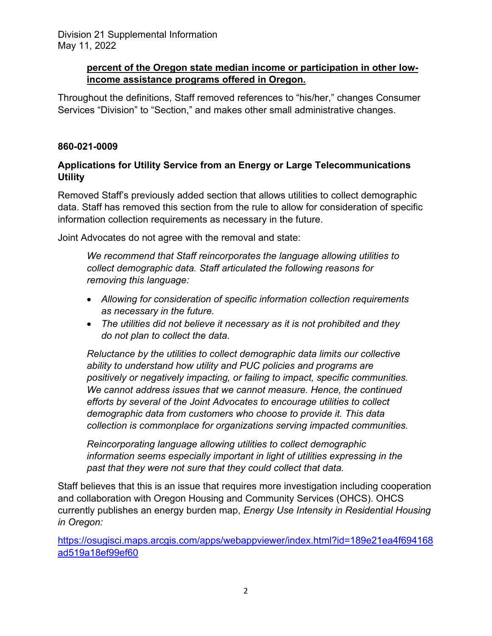# **percent of the Oregon state median income or participation in other lowincome assistance programs offered in Oregon.**

Throughout the definitions, Staff removed references to "his/her," changes Consumer Services "Division" to "Section," and makes other small administrative changes.

# **860-021-0009**

# **Applications for Utility Service from an Energy or Large Telecommunications Utility**

Removed Staff's previously added section that allows utilities to collect demographic data. Staff has removed this section from the rule to allow for consideration of specific information collection requirements as necessary in the future.

Joint Advocates do not agree with the removal and state:

*We recommend that Staff reincorporates the language allowing utilities to collect demographic data. Staff articulated the following reasons for removing this language:*

- *Allowing for consideration of specific information collection requirements as necessary in the future.*
- *The utilities did not believe it necessary as it is not prohibited and they do not plan to collect the data.*

*Reluctance by the utilities to collect demographic data limits our collective ability to understand how utility and PUC policies and programs are positively or negatively impacting, or failing to impact, specific communities. We cannot address issues that we cannot measure. Hence, the continued efforts by several of the Joint Advocates to encourage utilities to collect demographic data from customers who choose to provide it. This data collection is commonplace for organizations serving impacted communities.*

*Reincorporating language allowing utilities to collect demographic information seems especially important in light of utilities expressing in the past that they were not sure that they could collect that data.* 

Staff believes that this is an issue that requires more investigation including cooperation and collaboration with Oregon Housing and Community Services (OHCS). OHCS currently publishes an energy burden map, *Energy Use Intensity in Residential Housing in Oregon:*

[https://osugisci.maps.arcgis.com/apps/webappviewer/index.html?id=189e21ea4f694168](https://osugisci.maps.arcgis.com/apps/webappviewer/index.html?id=189e21ea4f694168ad519a18ef99ef60) [ad519a18ef99ef60](https://osugisci.maps.arcgis.com/apps/webappviewer/index.html?id=189e21ea4f694168ad519a18ef99ef60)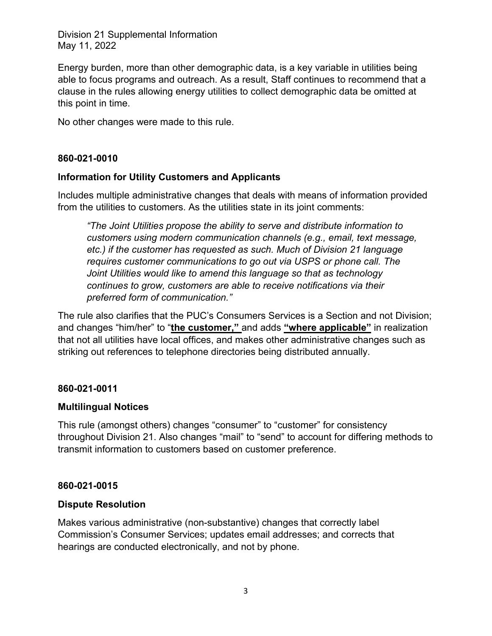Energy burden, more than other demographic data, is a key variable in utilities being able to focus programs and outreach. As a result, Staff continues to recommend that a clause in the rules allowing energy utilities to collect demographic data be omitted at this point in time.

No other changes were made to this rule.

# **860-021-0010**

## **Information for Utility Customers and Applicants**

Includes multiple administrative changes that deals with means of information provided from the utilities to customers. As the utilities state in its joint comments:

*"The Joint Utilities propose the ability to serve and distribute information to customers using modern communication channels (e.g., email, text message, etc.) if the customer has requested as such. Much of Division 21 language requires customer communications to go out via USPS or phone call. The Joint Utilities would like to amend this language so that as technology continues to grow, customers are able to receive notifications via their preferred form of communication."*

The rule also clarifies that the PUC's Consumers Services is a Section and not Division; and changes "him/her" to "**the customer,"** and adds **"where applicable"** in realization that not all utilities have local offices, and makes other administrative changes such as striking out references to telephone directories being distributed annually.

## **860-021-0011**

## **Multilingual Notices**

This rule (amongst others) changes "consumer" to "customer" for consistency throughout Division 21. Also changes "mail" to "send" to account for differing methods to transmit information to customers based on customer preference.

## **860-021-0015**

#### **Dispute Resolution**

Makes various administrative (non-substantive) changes that correctly label Commission's Consumer Services; updates email addresses; and corrects that hearings are conducted electronically, and not by phone.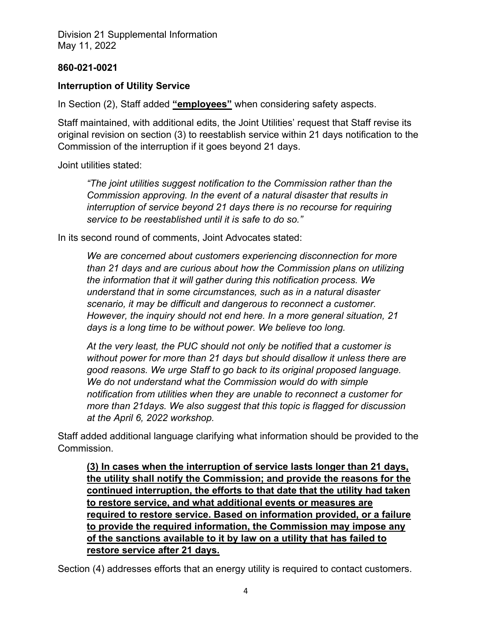## **860-021-0021**

# **Interruption of Utility Service**

In Section (2), Staff added **"employees"** when considering safety aspects.

Staff maintained, with additional edits, the Joint Utilities' request that Staff revise its original revision on section (3) to reestablish service within 21 days notification to the Commission of the interruption if it goes beyond 21 days.

Joint utilities stated:

*"The joint utilities suggest notification to the Commission rather than the Commission approving. In the event of a natural disaster that results in interruption of service beyond 21 days there is no recourse for requiring service to be reestablished until it is safe to do so."*

In its second round of comments, Joint Advocates stated:

*We are concerned about customers experiencing disconnection for more than 21 days and are curious about how the Commission plans on utilizing the information that it will gather during this notification process. We understand that in some circumstances, such as in a natural disaster scenario, it may be difficult and dangerous to reconnect a customer. However, the inquiry should not end here. In a more general situation, 21 days is a long time to be without power. We believe too long.*

*At the very least, the PUC should not only be notified that a customer is without power for more than 21 days but should disallow it unless there are good reasons. We urge Staff to go back to its original proposed language. We do not understand what the Commission would do with simple notification from utilities when they are unable to reconnect a customer for more than 21days. We also suggest that this topic is flagged for discussion at the April 6, 2022 workshop.*

Staff added additional language clarifying what information should be provided to the Commission.

**(3) In cases when the interruption of service lasts longer than 21 days, the utility shall notify the Commission; and provide the reasons for the continued interruption, the efforts to that date that the utility had taken to restore service, and what additional events or measures are required to restore service. Based on information provided, or a failure to provide the required information, the Commission may impose any of the sanctions available to it by law on a utility that has failed to restore service after 21 days.**

Section (4) addresses efforts that an energy utility is required to contact customers.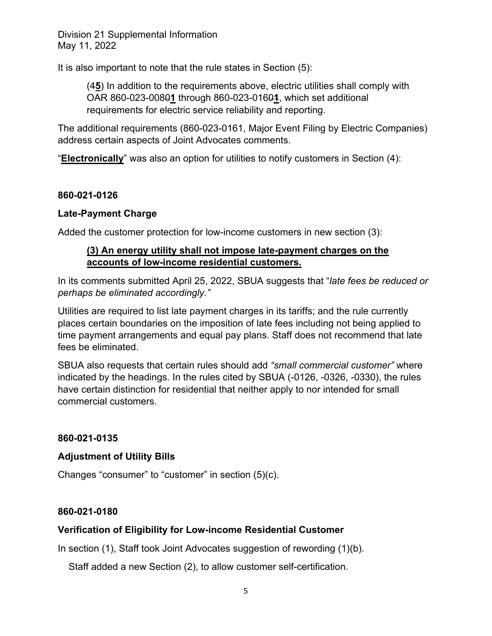It is also important to note that the rule states in Section (5):

(4**5**) In addition to the requirements above, electric utilities shall comply with OAR 860-023-0080**1** through 860-023-0160**1**, which set additional requirements for electric service reliability and reporting.

The additional requirements (860-023-0161, Major Event Filing by Electric Companies) address certain aspects of Joint Advocates comments.

"**Electronically**" was also an option for utilities to notify customers in Section (4):

## **860-021-0126**

## **Late-Payment Charge**

Added the customer protection for low-income customers in new section (3):

## **(3) An energy utility shall not impose late-payment charges on the accounts of low-income residential customers.**

In its comments submitted April 25, 2022, SBUA suggests that "*late fees be reduced or perhaps be eliminated accordingly."*

Utilities are required to list late payment charges in its tariffs; and the rule currently places certain boundaries on the imposition of late fees including not being applied to time payment arrangements and equal pay plans. Staff does not recommend that late fees be eliminated.

SBUA also requests that certain rules should add *"small commercial customer"* where indicated by the headings. In the rules cited by SBUA (-0126, -0326, -0330), the rules have certain distinction for residential that neither apply to nor intended for small commercial customers.

## **860-021-0135**

## **Adjustment of Utility Bills**

Changes "consumer" to "customer" in section (5)(c).

## **860-021-0180**

## **Verification of Eligibility for Low-income Residential Customer**

In section (1), Staff took Joint Advocates suggestion of rewording (1)(b).

Staff added a new Section (2), to allow customer self-certification.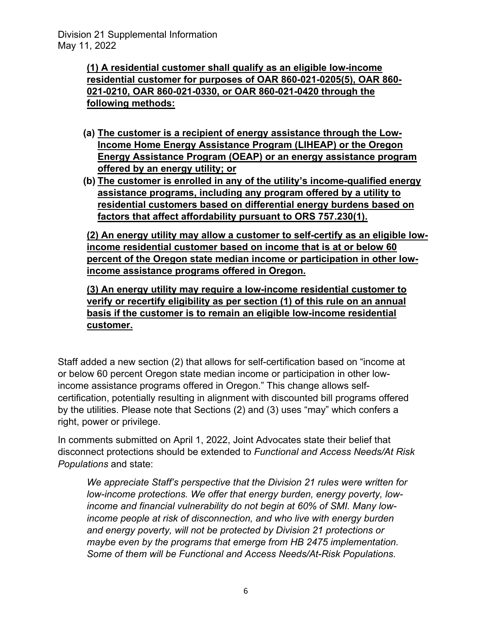**(1) A residential customer shall qualify as an eligible low-income residential customer for purposes of OAR 860-021-0205(5), OAR 860- 021-0210, OAR 860-021-0330, or OAR 860-021-0420 through the following methods:**

- **(a) The customer is a recipient of energy assistance through the Low-Income Home Energy Assistance Program (LIHEAP) or the Oregon Energy Assistance Program (OEAP) or an energy assistance program offered by an energy utility; or**
- **(b) The customer is enrolled in any of the utility's income-qualified energy assistance programs, including any program offered by a utility to residential customers based on differential energy burdens based on factors that affect affordability pursuant to ORS 757.230(1).**

**(2) An energy utility may allow a customer to self-certify as an eligible lowincome residential customer based on income that is at or below 60 percent of the Oregon state median income or participation in other lowincome assistance programs offered in Oregon.**

**(3) An energy utility may require a low-income residential customer to verify or recertify eligibility as per section (1) of this rule on an annual basis if the customer is to remain an eligible low-income residential customer.**

Staff added a new section (2) that allows for self-certification based on "income at or below 60 percent Oregon state median income or participation in other lowincome assistance programs offered in Oregon." This change allows selfcertification, potentially resulting in alignment with discounted bill programs offered by the utilities. Please note that Sections (2) and (3) uses "may" which confers a right, power or privilege.

In comments submitted on April 1, 2022, Joint Advocates state their belief that disconnect protections should be extended to *Functional and Access Needs/At Risk Populations* and state:

*We appreciate Staff's perspective that the Division 21 rules were written for low-income protections. We offer that energy burden, energy poverty, lowincome and financial vulnerability do not begin at 60% of SMI. Many lowincome people at risk of disconnection, and who live with energy burden and energy poverty, will not be protected by Division 21 protections or maybe even by the programs that emerge from HB 2475 implementation. Some of them will be Functional and Access Needs/At-Risk Populations.*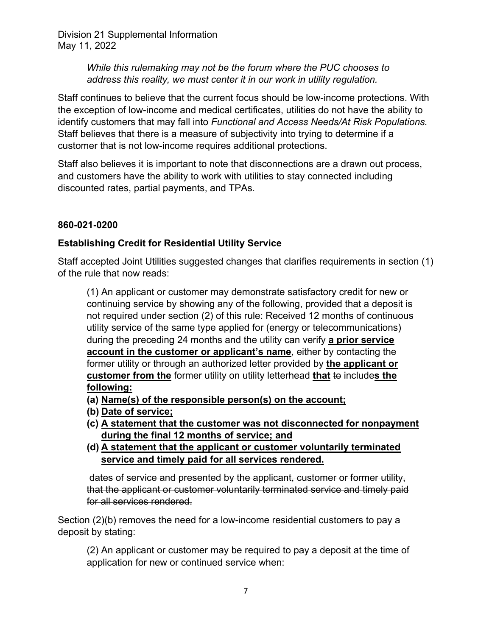> *While this rulemaking may not be the forum where the PUC chooses to address this reality, we must center it in our work in utility regulation.*

Staff continues to believe that the current focus should be low-income protections. With the exception of low-income and medical certificates, utilities do not have the ability to identify customers that may fall into *Functional and Access Needs/At Risk Populations.* Staff believes that there is a measure of subjectivity into trying to determine if a customer that is not low-income requires additional protections.

Staff also believes it is important to note that disconnections are a drawn out process, and customers have the ability to work with utilities to stay connected including discounted rates, partial payments, and TPAs.

# **860-021-0200**

# **Establishing Credit for Residential Utility Service**

Staff accepted Joint Utilities suggested changes that clarifies requirements in section (1) of the rule that now reads:

(1) An applicant or customer may demonstrate satisfactory credit for new or continuing service by showing any of the following, provided that a deposit is not required under section (2) of this rule: Received 12 months of continuous utility service of the same type applied for (energy or telecommunications) during the preceding 24 months and the utility can verify **a prior service account in the customer or applicant's name**, either by contacting the former utility or through an authorized letter provided by **the applicant or customer from the** former utility on utility letterhead **that** to includes the **following:**

- **(a) Name(s) of the responsible person(s) on the account;**
- **(b) Date of service;**
- **(c) A statement that the customer was not disconnected for nonpayment during the final 12 months of service; and**
- **(d) A statement that the applicant or customer voluntarily terminated service and timely paid for all services rendered.**

dates of service and presented by the applicant, customer or former utility, that the applicant or customer voluntarily terminated service and timely paid for all services rendered.

Section (2)(b) removes the need for a low-income residential customers to pay a deposit by stating:

(2) An applicant or customer may be required to pay a deposit at the time of application for new or continued service when: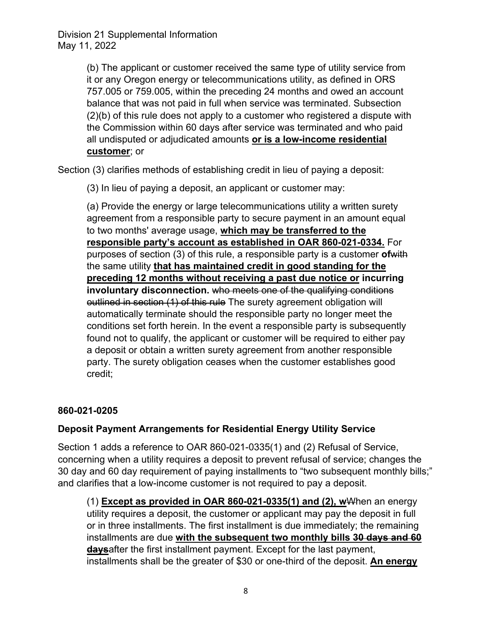> (b) The applicant or customer received the same type of utility service from it or any Oregon energy or telecommunications utility, as defined in ORS 757.005 or 759.005, within the preceding 24 months and owed an account balance that was not paid in full when service was terminated. Subsection (2)(b) of this rule does not apply to a customer who registered a dispute with the Commission within 60 days after service was terminated and who paid all undisputed or adjudicated amounts **or is a low-income residential customer**; or

Section (3) clarifies methods of establishing credit in lieu of paying a deposit:

(3) In lieu of paying a deposit, an applicant or customer may:

(a) Provide the energy or large telecommunications utility a written surety agreement from a responsible party to secure payment in an amount equal to two months' average usage, **which may be transferred to the responsible party's account as established in OAR 860-021-0334.** For purposes of section (3) of this rule, a responsible party is a customer **of**with the same utility **that has maintained credit in good standing for the preceding 12 months without receiving a past due notice or incurring involuntary disconnection.** who meets one of the qualifying conditions outlined in section (1) of this rule The surety agreement obligation will automatically terminate should the responsible party no longer meet the conditions set forth herein. In the event a responsible party is subsequently found not to qualify, the applicant or customer will be required to either pay a deposit or obtain a written surety agreement from another responsible party. The surety obligation ceases when the customer establishes good credit;

## **860-021-0205**

## **Deposit Payment Arrangements for Residential Energy Utility Service**

Section 1 adds a reference to OAR 860-021-0335(1) and (2) Refusal of Service, concerning when a utility requires a deposit to prevent refusal of service; changes the 30 day and 60 day requirement of paying installments to "two subsequent monthly bills;" and clarifies that a low-income customer is not required to pay a deposit.

(1) **Except as provided in OAR 860-021-0335(1) and (2), w**When an energy utility requires a deposit, the customer or applicant may pay the deposit in full or in three installments. The first installment is due immediately; the remaining installments are due **with the subsequent two monthly bills 30 days and 60 days**after the first installment payment. Except for the last payment, installments shall be the greater of \$30 or one-third of the deposit. **An energy**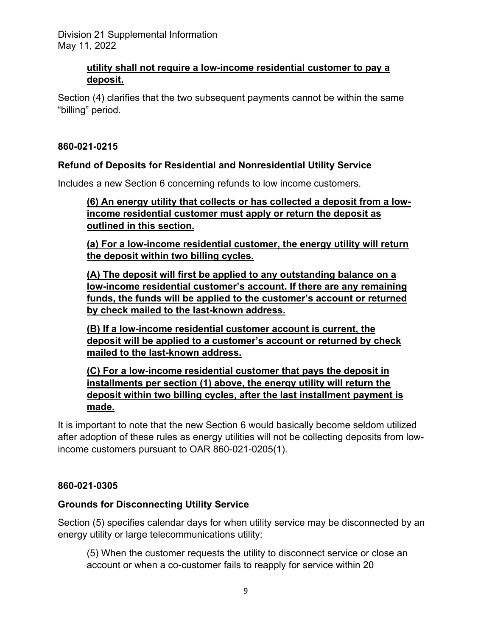# **utility shall not require a low-income residential customer to pay a deposit.**

Section (4) clarifies that the two subsequent payments cannot be within the same "billing" period.

## **860-021-0215**

## **Refund of Deposits for Residential and Nonresidential Utility Service**

Includes a new Section 6 concerning refunds to low income customers.

**(6) An energy utility that collects or has collected a deposit from a lowincome residential customer must apply or return the deposit as outlined in this section.**

**(a) For a low-income residential customer, the energy utility will return the deposit within two billing cycles.**

**(A) The deposit will first be applied to any outstanding balance on a low-income residential customer's account. If there are any remaining funds, the funds will be applied to the customer's account or returned by check mailed to the last-known address.** 

**(B) If a low-income residential customer account is current, the deposit will be applied to a customer's account or returned by check mailed to the last-known address.**

**(C) For a low-income residential customer that pays the deposit in installments per section (1) above, the energy utility will return the deposit within two billing cycles, after the last installment payment is made.**

It is important to note that the new Section 6 would basically become seldom utilized after adoption of these rules as energy utilities will not be collecting deposits from lowincome customers pursuant to OAR 860-021-0205(1).

## **860-021-0305**

## **Grounds for Disconnecting Utility Service**

Section (5) specifies calendar days for when utility service may be disconnected by an energy utility or large telecommunications utility:

(5) When the customer requests the utility to disconnect service or close an account or when a co-customer fails to reapply for service within 20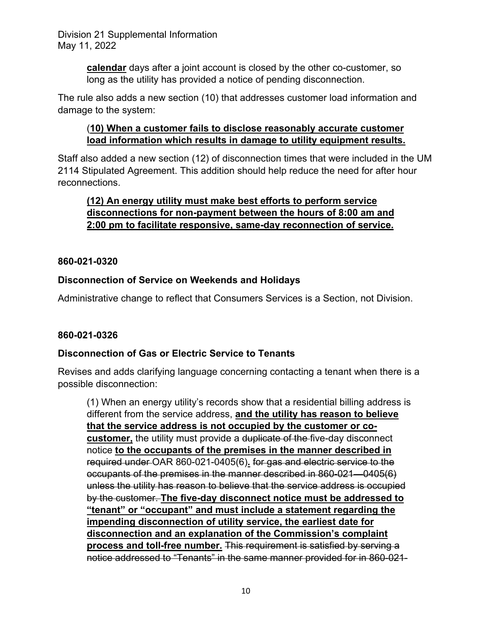> **calendar** days after a joint account is closed by the other co-customer, so long as the utility has provided a notice of pending disconnection.

The rule also adds a new section (10) that addresses customer load information and damage to the system:

# (**10) When a customer fails to disclose reasonably accurate customer load information which results in damage to utility equipment results.**

Staff also added a new section (12) of disconnection times that were included in the UM 2114 Stipulated Agreement. This addition should help reduce the need for after hour reconnections.

# **(12) An energy utility must make best efforts to perform service disconnections for non-payment between the hours of 8:00 am and 2:00 pm to facilitate responsive, same-day reconnection of service.**

# **860-021-0320**

# **Disconnection of Service on Weekends and Holidays**

Administrative change to reflect that Consumers Services is a Section, not Division.

# **860-021-0326**

# **Disconnection of Gas or Electric Service to Tenants**

Revises and adds clarifying language concerning contacting a tenant when there is a possible disconnection:

(1) When an energy utility's records show that a residential billing address is different from the service address, **and the utility has reason to believe that the service address is not occupied by the customer or cocustomer,** the utility must provide a duplicate of the five-day disconnect notice **to the occupants of the premises in the manner described in** required under OAR 860-021-0405(6)**.** for gas and electric service to the occupants of the premises in the manner described in 860-021—0405(6) unless the utility has reason to believe that the service address is occupied by the customer. **The five-day disconnect notice must be addressed to "tenant" or "occupant" and must include a statement regarding the impending disconnection of utility service, the earliest date for disconnection and an explanation of the Commission's complaint process and toll-free number.** This requirement is satisfied by serving a notice addressed to "Tenants" in the same manner provided for in 860-021-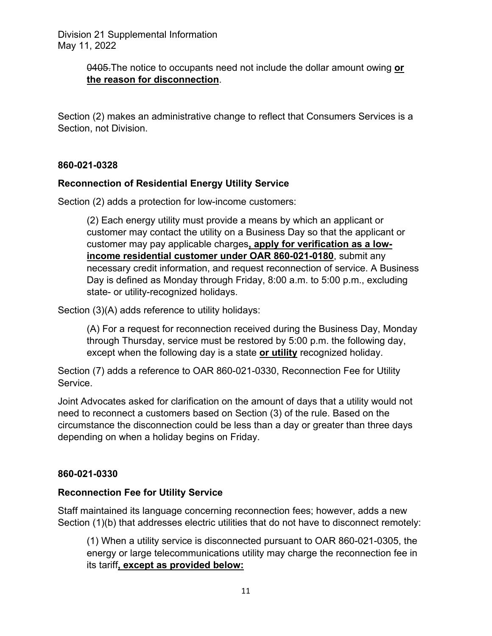> 0405.The notice to occupants need not include the dollar amount owing **or the reason for disconnection**.

Section (2) makes an administrative change to reflect that Consumers Services is a Section, not Division.

## **860-021-0328**

## **Reconnection of Residential Energy Utility Service**

Section (2) adds a protection for low-income customers:

(2) Each energy utility must provide a means by which an applicant or customer may contact the utility on a Business Day so that the applicant or customer may pay applicable charges**, apply for verification as a lowincome residential customer under OAR 860-021-0180**, submit any necessary credit information, and request reconnection of service. A Business Day is defined as Monday through Friday, 8:00 a.m. to 5:00 p.m., excluding state- or utility-recognized holidays.

Section (3)(A) adds reference to utility holidays:

(A) For a request for reconnection received during the Business Day, Monday through Thursday, service must be restored by 5:00 p.m. the following day, except when the following day is a state **or utility** recognized holiday.

Section (7) adds a reference to OAR 860-021-0330, Reconnection Fee for Utility Service.

Joint Advocates asked for clarification on the amount of days that a utility would not need to reconnect a customers based on Section (3) of the rule. Based on the circumstance the disconnection could be less than a day or greater than three days depending on when a holiday begins on Friday.

## **860-021-0330**

## **Reconnection Fee for Utility Service**

Staff maintained its language concerning reconnection fees; however, adds a new Section (1)(b) that addresses electric utilities that do not have to disconnect remotely:

(1) When a utility service is disconnected pursuant to OAR 860-021-0305, the energy or large telecommunications utility may charge the reconnection fee in its tariff**, except as provided below:**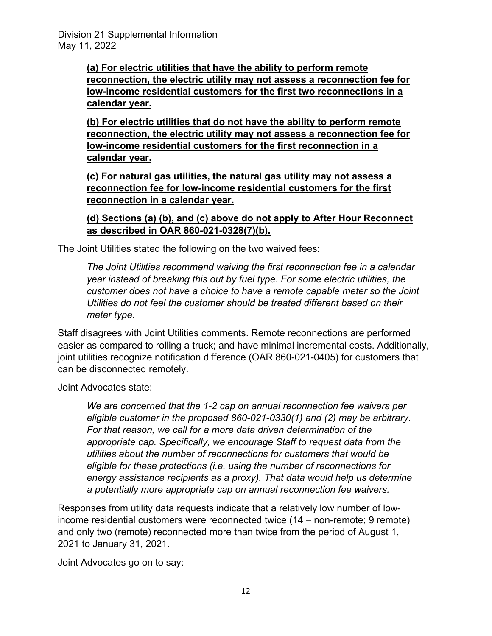**(a) For electric utilities that have the ability to perform remote reconnection, the electric utility may not assess a reconnection fee for low-income residential customers for the first two reconnections in a calendar year.**

**(b) For electric utilities that do not have the ability to perform remote reconnection, the electric utility may not assess a reconnection fee for low-income residential customers for the first reconnection in a calendar year.**

**(c) For natural gas utilities, the natural gas utility may not assess a reconnection fee for low-income residential customers for the first reconnection in a calendar year.**

**(d) Sections (a) (b), and (c) above do not apply to After Hour Reconnect as described in OAR 860-021-0328(7)(b).**

The Joint Utilities stated the following on the two waived fees:

*The Joint Utilities recommend waiving the first reconnection fee in a calendar year instead of breaking this out by fuel type. For some electric utilities, the customer does not have a choice to have a remote capable meter so the Joint Utilities do not feel the customer should be treated different based on their meter type.*

Staff disagrees with Joint Utilities comments. Remote reconnections are performed easier as compared to rolling a truck; and have minimal incremental costs. Additionally, joint utilities recognize notification difference (OAR 860-021-0405) for customers that can be disconnected remotely.

Joint Advocates state:

*We are concerned that the 1-2 cap on annual reconnection fee waivers per eligible customer in the proposed 860-021-0330(1) and (2) may be arbitrary. For that reason, we call for a more data driven determination of the appropriate cap. Specifically, we encourage Staff to request data from the utilities about the number of reconnections for customers that would be eligible for these protections (i.e. using the number of reconnections for energy assistance recipients as a proxy). That data would help us determine a potentially more appropriate cap on annual reconnection fee waivers.*

Responses from utility data requests indicate that a relatively low number of lowincome residential customers were reconnected twice (14 – non-remote; 9 remote) and only two (remote) reconnected more than twice from the period of August 1, 2021 to January 31, 2021.

Joint Advocates go on to say: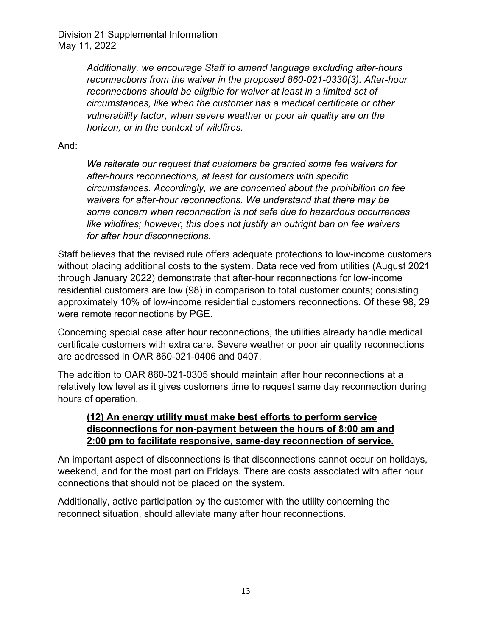> *Additionally, we encourage Staff to amend language excluding after-hours reconnections from the waiver in the proposed 860-021-0330(3). After-hour reconnections should be eligible for waiver at least in a limited set of circumstances, like when the customer has a medical certificate or other vulnerability factor, when severe weather or poor air quality are on the horizon, or in the context of wildfires.*

## And:

*We reiterate our request that customers be granted some fee waivers for after-hours reconnections, at least for customers with specific circumstances. Accordingly, we are concerned about the prohibition on fee waivers for after-hour reconnections. We understand that there may be some concern when reconnection is not safe due to hazardous occurrences like wildfires; however, this does not justify an outright ban on fee waivers for after hour disconnections.*

Staff believes that the revised rule offers adequate protections to low-income customers without placing additional costs to the system. Data received from utilities (August 2021 through January 2022) demonstrate that after-hour reconnections for low-income residential customers are low (98) in comparison to total customer counts; consisting approximately 10% of low-income residential customers reconnections. Of these 98, 29 were remote reconnections by PGE.

Concerning special case after hour reconnections, the utilities already handle medical certificate customers with extra care. Severe weather or poor air quality reconnections are addressed in OAR 860-021-0406 and 0407.

The addition to OAR 860-021-0305 should maintain after hour reconnections at a relatively low level as it gives customers time to request same day reconnection during hours of operation.

# **(12) An energy utility must make best efforts to perform service disconnections for non-payment between the hours of 8:00 am and 2:00 pm to facilitate responsive, same-day reconnection of service.**

An important aspect of disconnections is that disconnections cannot occur on holidays, weekend, and for the most part on Fridays. There are costs associated with after hour connections that should not be placed on the system.

Additionally, active participation by the customer with the utility concerning the reconnect situation, should alleviate many after hour reconnections.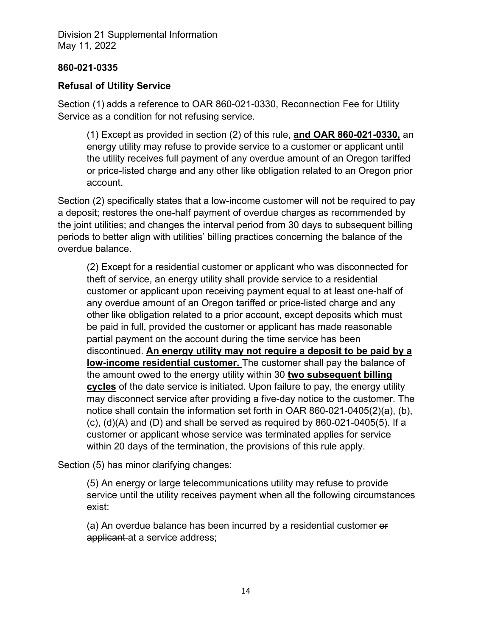## **860-021-0335**

# **Refusal of Utility Service**

Section (1) adds a reference to OAR 860-021-0330, Reconnection Fee for Utility Service as a condition for not refusing service.

(1) Except as provided in section (2) of this rule, **and OAR 860-021-0330,** an energy utility may refuse to provide service to a customer or applicant until the utility receives full payment of any overdue amount of an Oregon tariffed or price-listed charge and any other like obligation related to an Oregon prior account.

Section (2) specifically states that a low-income customer will not be required to pay a deposit; restores the one-half payment of overdue charges as recommended by the joint utilities; and changes the interval period from 30 days to subsequent billing periods to better align with utilities' billing practices concerning the balance of the overdue balance.

(2) Except for a residential customer or applicant who was disconnected for theft of service, an energy utility shall provide service to a residential customer or applicant upon receiving payment equal to at least one-half of any overdue amount of an Oregon tariffed or price-listed charge and any other like obligation related to a prior account, except deposits which must be paid in full, provided the customer or applicant has made reasonable partial payment on the account during the time service has been discontinued. **An energy utility may not require a deposit to be paid by a low-income residential customer.** The customer shall pay the balance of the amount owed to the energy utility within 30 **two subsequent billing cycles** of the date service is initiated. Upon failure to pay, the energy utility may disconnect service after providing a five-day notice to the customer. The notice shall contain the information set forth in OAR 860-021-0405(2)(a), (b),  $(c)$ ,  $(d)(A)$  and  $(D)$  and shall be served as required by 860-021-0405 $(5)$ . If a customer or applicant whose service was terminated applies for service within 20 days of the termination, the provisions of this rule apply.

Section (5) has minor clarifying changes:

(5) An energy or large telecommunications utility may refuse to provide service until the utility receives payment when all the following circumstances exist:

(a) An overdue balance has been incurred by a residential customer or applicant at a service address;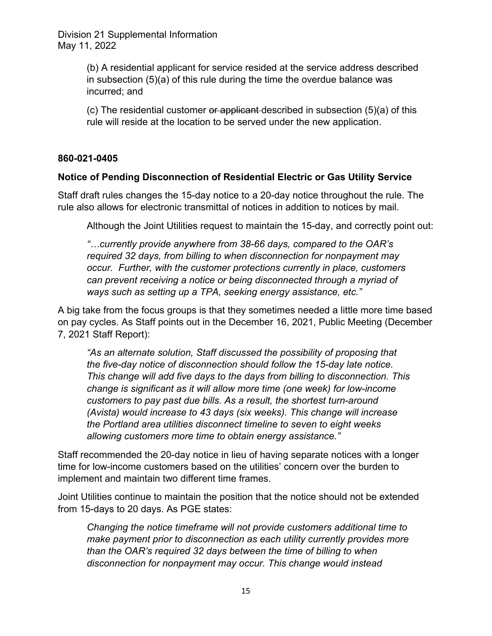> (b) A residential applicant for service resided at the service address described in subsection (5)(a) of this rule during the time the overdue balance was incurred; and

> (c) The residential customer or applicant described in subsection  $(5)(a)$  of this rule will reside at the location to be served under the new application.

## **860-021-0405**

## **Notice of Pending Disconnection of Residential Electric or Gas Utility Service**

Staff draft rules changes the 15-day notice to a 20-day notice throughout the rule. The rule also allows for electronic transmittal of notices in addition to notices by mail.

Although the Joint Utilities request to maintain the 15-day, and correctly point out:

*"…currently provide anywhere from 38-66 days, compared to the OAR's required 32 days, from billing to when disconnection for nonpayment may occur. Further, with the customer protections currently in place, customers can prevent receiving a notice or being disconnected through a myriad of ways such as setting up a TPA, seeking energy assistance, etc."* 

A big take from the focus groups is that they sometimes needed a little more time based on pay cycles. As Staff points out in the December 16, 2021, Public Meeting (December 7, 2021 Staff Report):

*"As an alternate solution, Staff discussed the possibility of proposing that the five-day notice of disconnection should follow the 15-day late notice. This change will add five days to the days from billing to disconnection. This change is significant as it will allow more time (one week) for low-income customers to pay past due bills. As a result, the shortest turn-around (Avista) would increase to 43 days (six weeks). This change will increase the Portland area utilities disconnect timeline to seven to eight weeks allowing customers more time to obtain energy assistance."* 

Staff recommended the 20-day notice in lieu of having separate notices with a longer time for low-income customers based on the utilities' concern over the burden to implement and maintain two different time frames.

Joint Utilities continue to maintain the position that the notice should not be extended from 15-days to 20 days. As PGE states:

*Changing the notice timeframe will not provide customers additional time to make payment prior to disconnection as each utility currently provides more than the OAR's required 32 days between the time of billing to when disconnection for nonpayment may occur. This change would instead*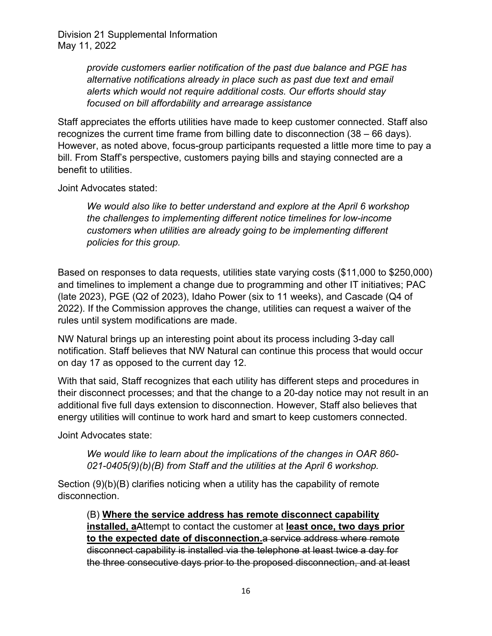> *provide customers earlier notification of the past due balance and PGE has alternative notifications already in place such as past due text and email alerts which would not require additional costs. Our efforts should stay focused on bill affordability and arrearage assistance*

Staff appreciates the efforts utilities have made to keep customer connected. Staff also recognizes the current time frame from billing date to disconnection (38 – 66 days). However, as noted above, focus-group participants requested a little more time to pay a bill. From Staff's perspective, customers paying bills and staying connected are a benefit to utilities.

Joint Advocates stated:

*We would also like to better understand and explore at the April 6 workshop the challenges to implementing different notice timelines for low-income customers when utilities are already going to be implementing different policies for this group.*

Based on responses to data requests, utilities state varying costs (\$11,000 to \$250,000) and timelines to implement a change due to programming and other IT initiatives; PAC (late 2023), PGE (Q2 of 2023), Idaho Power (six to 11 weeks), and Cascade (Q4 of 2022). If the Commission approves the change, utilities can request a waiver of the rules until system modifications are made.

NW Natural brings up an interesting point about its process including 3-day call notification. Staff believes that NW Natural can continue this process that would occur on day 17 as opposed to the current day 12.

With that said, Staff recognizes that each utility has different steps and procedures in their disconnect processes; and that the change to a 20-day notice may not result in an additional five full days extension to disconnection. However, Staff also believes that energy utilities will continue to work hard and smart to keep customers connected.

Joint Advocates state:

*We would like to learn about the implications of the changes in OAR 860- 021-0405(9)(b)(B) from Staff and the utilities at the April 6 workshop.*

Section (9)(b)(B) clarifies noticing when a utility has the capability of remote disconnection.

(B) **Where the service address has remote disconnect capability installed, a**Attempt to contact the customer at **least once, two days prior to the expected date of disconnection.**a service address where remote disconnect capability is installed via the telephone at least twice a day for the three consecutive days prior to the proposed disconnection, and at least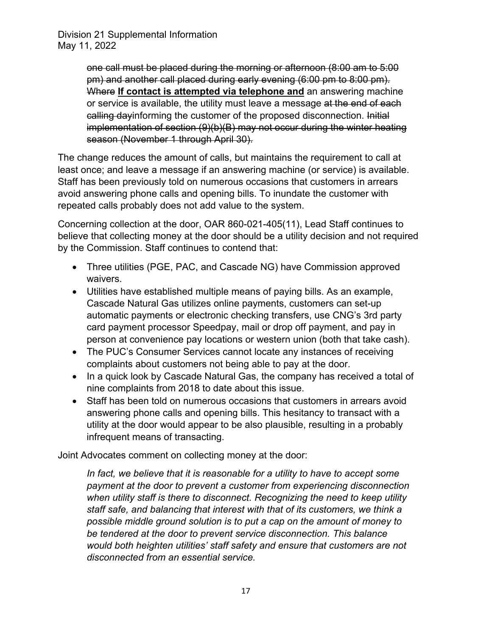> one call must be placed during the morning or afternoon (8:00 am to 5:00 pm) and another call placed during early evening (6:00 pm to 8:00 pm). Where **If contact is attempted via telephone and** an answering machine or service is available, the utility must leave a message at the end of each calling dayinforming the customer of the proposed disconnection. Initial implementation of section (9)(b)(B) may not occur during the winter heating season (November 1 through April 30).

The change reduces the amount of calls, but maintains the requirement to call at least once; and leave a message if an answering machine (or service) is available. Staff has been previously told on numerous occasions that customers in arrears avoid answering phone calls and opening bills. To inundate the customer with repeated calls probably does not add value to the system.

Concerning collection at the door, OAR 860-021-405(11), Lead Staff continues to believe that collecting money at the door should be a utility decision and not required by the Commission. Staff continues to contend that:

- Three utilities (PGE, PAC, and Cascade NG) have Commission approved waivers.
- Utilities have established multiple means of paying bills. As an example, Cascade Natural Gas utilizes online payments, customers can set-up automatic payments or electronic checking transfers, use CNG's 3rd party card payment processor Speedpay, mail or drop off payment, and pay in person at convenience pay locations or western union (both that take cash).
- The PUC's Consumer Services cannot locate any instances of receiving complaints about customers not being able to pay at the door.
- In a quick look by Cascade Natural Gas, the company has received a total of nine complaints from 2018 to date about this issue.
- Staff has been told on numerous occasions that customers in arrears avoid answering phone calls and opening bills. This hesitancy to transact with a utility at the door would appear to be also plausible, resulting in a probably infrequent means of transacting.

Joint Advocates comment on collecting money at the door:

In fact, we believe that it is reasonable for a utility to have to accept some *payment at the door to prevent a customer from experiencing disconnection when utility staff is there to disconnect. Recognizing the need to keep utility staff safe, and balancing that interest with that of its customers, we think a possible middle ground solution is to put a cap on the amount of money to be tendered at the door to prevent service disconnection. This balance would both heighten utilities' staff safety and ensure that customers are not disconnected from an essential service.*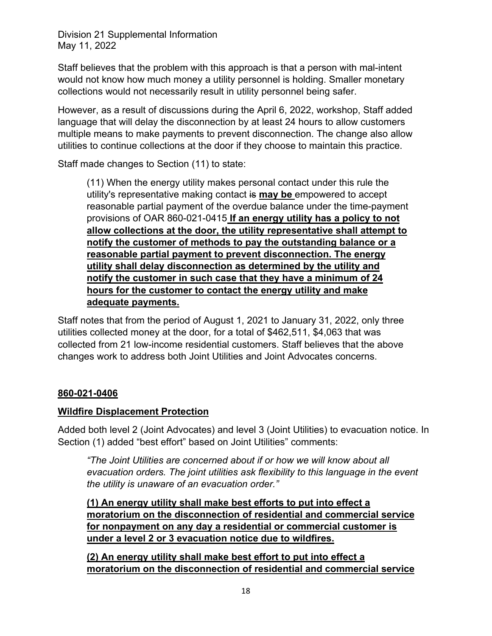Staff believes that the problem with this approach is that a person with mal-intent would not know how much money a utility personnel is holding. Smaller monetary collections would not necessarily result in utility personnel being safer.

However, as a result of discussions during the April 6, 2022, workshop, Staff added language that will delay the disconnection by at least 24 hours to allow customers multiple means to make payments to prevent disconnection. The change also allow utilities to continue collections at the door if they choose to maintain this practice.

Staff made changes to Section (11) to state:

(11) When the energy utility makes personal contact under this rule the utility's representative making contact is **may be** empowered to accept reasonable partial payment of the overdue balance under the time-payment provisions of OAR 860-021-0415 **If an energy utility has a policy to not allow collections at the door, the utility representative shall attempt to notify the customer of methods to pay the outstanding balance or a reasonable partial payment to prevent disconnection. The energy utility shall delay disconnection as determined by the utility and notify the customer in such case that they have a minimum of 24 hours for the customer to contact the energy utility and make adequate payments.**

Staff notes that from the period of August 1, 2021 to January 31, 2022, only three utilities collected money at the door, for a total of \$462,511, \$4,063 that was collected from 21 low-income residential customers. Staff believes that the above changes work to address both Joint Utilities and Joint Advocates concerns.

# **860-021-0406**

# **Wildfire Displacement Protection**

Added both level 2 (Joint Advocates) and level 3 (Joint Utilities) to evacuation notice. In Section (1) added "best effort" based on Joint Utilities" comments:

*"The Joint Utilities are concerned about if or how we will know about all evacuation orders. The joint utilities ask flexibility to this language in the event the utility is unaware of an evacuation order."* 

**(1) An energy utility shall make best efforts to put into effect a moratorium on the disconnection of residential and commercial service for nonpayment on any day a residential or commercial customer is under a level 2 or 3 evacuation notice due to wildfires.**

**(2) An energy utility shall make best effort to put into effect a moratorium on the disconnection of residential and commercial service**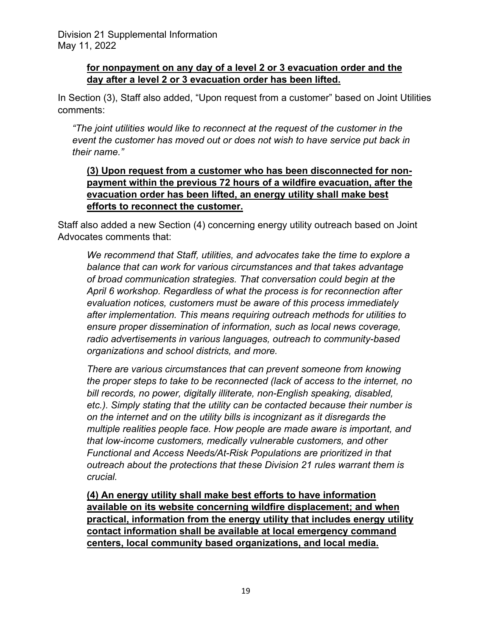# **for nonpayment on any day of a level 2 or 3 evacuation order and the day after a level 2 or 3 evacuation order has been lifted.**

In Section (3), Staff also added, "Upon request from a customer" based on Joint Utilities comments:

*"The joint utilities would like to reconnect at the request of the customer in the event the customer has moved out or does not wish to have service put back in their name."*

# **(3) Upon request from a customer who has been disconnected for nonpayment within the previous 72 hours of a wildfire evacuation, after the evacuation order has been lifted, an energy utility shall make best efforts to reconnect the customer.**

Staff also added a new Section (4) concerning energy utility outreach based on Joint Advocates comments that:

*We recommend that Staff, utilities, and advocates take the time to explore a balance that can work for various circumstances and that takes advantage of broad communication strategies. That conversation could begin at the April 6 workshop. Regardless of what the process is for reconnection after evaluation notices, customers must be aware of this process immediately after implementation. This means requiring outreach methods for utilities to ensure proper dissemination of information, such as local news coverage, radio advertisements in various languages, outreach to community-based organizations and school districts, and more.*

*There are various circumstances that can prevent someone from knowing the proper steps to take to be reconnected (lack of access to the internet, no bill records, no power, digitally illiterate, non-English speaking, disabled, etc.). Simply stating that the utility can be contacted because their number is on the internet and on the utility bills is incognizant as it disregards the multiple realities people face. How people are made aware is important, and that low-income customers, medically vulnerable customers, and other Functional and Access Needs/At-Risk Populations are prioritized in that outreach about the protections that these Division 21 rules warrant them is crucial.*

**(4) An energy utility shall make best efforts to have information available on its website concerning wildfire displacement; and when practical, information from the energy utility that includes energy utility contact information shall be available at local emergency command centers, local community based organizations, and local media.**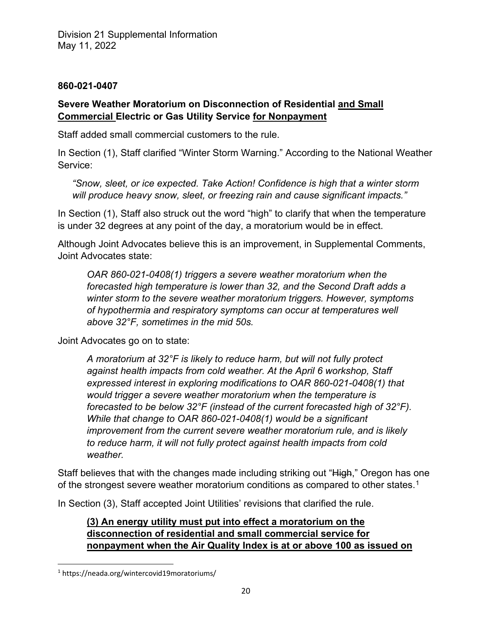## **860-021-0407**

# **Severe Weather Moratorium on Disconnection of Residential and Small Commercial Electric or Gas Utility Service for Nonpayment**

Staff added small commercial customers to the rule.

In Section (1), Staff clarified "Winter Storm Warning." According to the National Weather Service:

*"Snow, sleet, or ice expected. Take Action! Confidence is high that a winter storm will produce heavy snow, sleet, or freezing rain and cause significant impacts."*

In Section (1), Staff also struck out the word "high" to clarify that when the temperature is under 32 degrees at any point of the day, a moratorium would be in effect.

Although Joint Advocates believe this is an improvement, in Supplemental Comments, Joint Advocates state:

*OAR 860-021-0408(1) triggers a severe weather moratorium when the forecasted high temperature is lower than 32, and the Second Draft adds a winter storm to the severe weather moratorium triggers. However, symptoms of hypothermia and respiratory symptoms can occur at temperatures well above 32°F, sometimes in the mid 50s.* 

Joint Advocates go on to state:

*A moratorium at 32°F is likely to reduce harm, but will not fully protect against health impacts from cold weather. At the April 6 workshop, Staff expressed interest in exploring modifications to OAR 860-021-0408(1) that would trigger a severe weather moratorium when the temperature is forecasted to be below 32°F (instead of the current forecasted high of 32°F). While that change to OAR 860-021-0408(1) would be a significant improvement from the current severe weather moratorium rule, and is likely to reduce harm, it will not fully protect against health impacts from cold weather.*

Staff believes that with the changes made including striking out "High," Oregon has one of the strongest severe weather moratorium conditions as compared to other states.<sup>1</sup>

In Section (3), Staff accepted Joint Utilities' revisions that clarified the rule.

# **(3) An energy utility must put into effect a moratorium on the disconnection of residential and small commercial service for nonpayment when the Air Quality Index is at or above 100 as issued on**

<span id="page-19-0"></span><sup>1</sup> https://neada.org/wintercovid19moratoriums/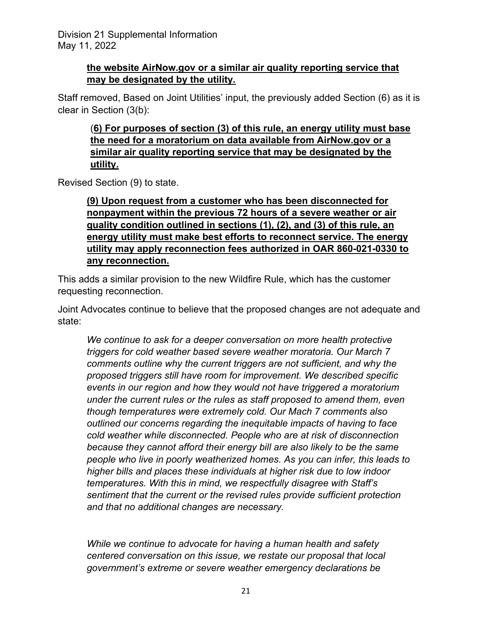# **the website AirNow.gov or a similar air quality reporting service that may be designated by the utility.**

Staff removed, Based on Joint Utilities' input, the previously added Section (6) as it is clear in Section (3(b):

(**6) For purposes of section (3) of this rule, an energy utility must base the need for a moratorium on data available from AirNow.gov or a similar air quality reporting service that may be designated by the utility.**

Revised Section (9) to state.

**(9) Upon request from a customer who has been disconnected for nonpayment within the previous 72 hours of a severe weather or air quality condition outlined in sections (1), (2), and (3) of this rule, an energy utility must make best efforts to reconnect service. The energy utility may apply reconnection fees authorized in OAR 860-021-0330 to any reconnection.**

This adds a similar provision to the new Wildfire Rule, which has the customer requesting reconnection.

Joint Advocates continue to believe that the proposed changes are not adequate and state:

*We continue to ask for a deeper conversation on more health protective triggers for cold weather based severe weather moratoria. Our March 7 comments outline why the current triggers are not sufficient, and why the proposed triggers still have room for improvement. We described specific events in our region and how they would not have triggered a moratorium under the current rules or the rules as staff proposed to amend them, even though temperatures were extremely cold. Our Mach 7 comments also outlined our concerns regarding the inequitable impacts of having to face cold weather while disconnected. People who are at risk of disconnection because they cannot afford their energy bill are also likely to be the same people who live in poorly weatherized homes. As you can infer, this leads to higher bills and places these individuals at higher risk due to low indoor temperatures. With this in mind, we respectfully disagree with Staff's sentiment that the current or the revised rules provide sufficient protection and that no additional changes are necessary.*

*While we continue to advocate for having a human health and safety centered conversation on this issue, we restate our proposal that local government's extreme or severe weather emergency declarations be*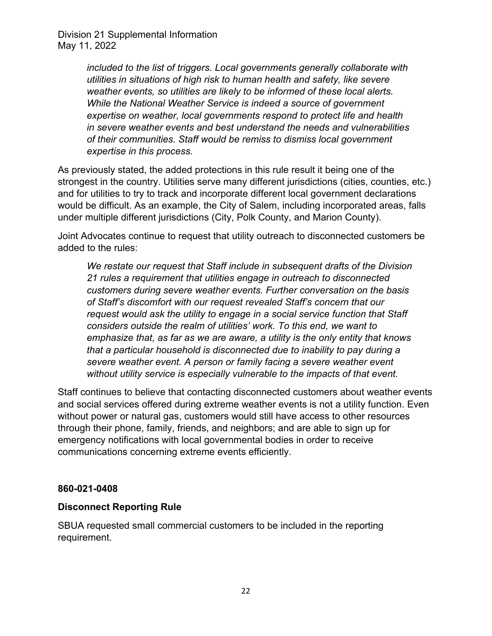> *included to the list of triggers. Local governments generally collaborate with utilities in situations of high risk to human health and safety, like severe weather events, so utilities are likely to be informed of these local alerts. While the National Weather Service is indeed a source of government expertise on weather, local governments respond to protect life and health in severe weather events and best understand the needs and vulnerabilities of their communities. Staff would be remiss to dismiss local government expertise in this process.*

As previously stated, the added protections in this rule result it being one of the strongest in the country. Utilities serve many different jurisdictions (cities, counties, etc.) and for utilities to try to track and incorporate different local government declarations would be difficult. As an example, the City of Salem, including incorporated areas, falls under multiple different jurisdictions (City, Polk County, and Marion County).

Joint Advocates continue to request that utility outreach to disconnected customers be added to the rules:

*We restate our request that Staff include in subsequent drafts of the Division 21 rules a requirement that utilities engage in outreach to disconnected customers during severe weather events. Further conversation on the basis of Staff's discomfort with our request revealed Staff's concern that our request would ask the utility to engage in a social service function that Staff considers outside the realm of utilities' work. To this end, we want to emphasize that, as far as we are aware, a utility is the only entity that knows that a particular household is disconnected due to inability to pay during a severe weather event. A person or family facing a severe weather event without utility service is especially vulnerable to the impacts of that event.*

Staff continues to believe that contacting disconnected customers about weather events and social services offered during extreme weather events is not a utility function. Even without power or natural gas, customers would still have access to other resources through their phone, family, friends, and neighbors; and are able to sign up for emergency notifications with local governmental bodies in order to receive communications concerning extreme events efficiently.

## **860-021-0408**

## **Disconnect Reporting Rule**

SBUA requested small commercial customers to be included in the reporting requirement.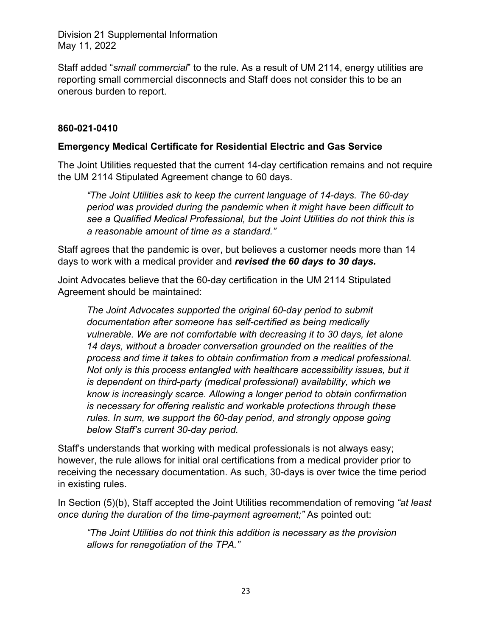Staff added "*small commercial*" to the rule. As a result of UM 2114, energy utilities are reporting small commercial disconnects and Staff does not consider this to be an onerous burden to report.

# **860-021-0410**

## **Emergency Medical Certificate for Residential Electric and Gas Service**

The Joint Utilities requested that the current 14-day certification remains and not require the UM 2114 Stipulated Agreement change to 60 days.

*"The Joint Utilities ask to keep the current language of 14-days. The 60-day period was provided during the pandemic when it might have been difficult to see a Qualified Medical Professional, but the Joint Utilities do not think this is a reasonable amount of time as a standard."*

Staff agrees that the pandemic is over, but believes a customer needs more than 14 days to work with a medical provider and *revised the 60 days to 30 days.*

Joint Advocates believe that the 60-day certification in the UM 2114 Stipulated Agreement should be maintained:

*The Joint Advocates supported the original 60-day period to submit documentation after someone has self-certified as being medically vulnerable. We are not comfortable with decreasing it to 30 days, let alone 14 days, without a broader conversation grounded on the realities of the process and time it takes to obtain confirmation from a medical professional. Not only is this process entangled with healthcare accessibility issues, but it is dependent on third-party (medical professional) availability, which we know is increasingly scarce. Allowing a longer period to obtain confirmation is necessary for offering realistic and workable protections through these rules. In sum, we support the 60-day period, and strongly oppose going below Staff's current 30-day period.*

Staff's understands that working with medical professionals is not always easy; however, the rule allows for initial oral certifications from a medical provider prior to receiving the necessary documentation. As such, 30-days is over twice the time period in existing rules.

In Section (5)(b), Staff accepted the Joint Utilities recommendation of removing *"at least once during the duration of the time-payment agreement;"* As pointed out:

*"The Joint Utilities do not think this addition is necessary as the provision allows for renegotiation of the TPA."*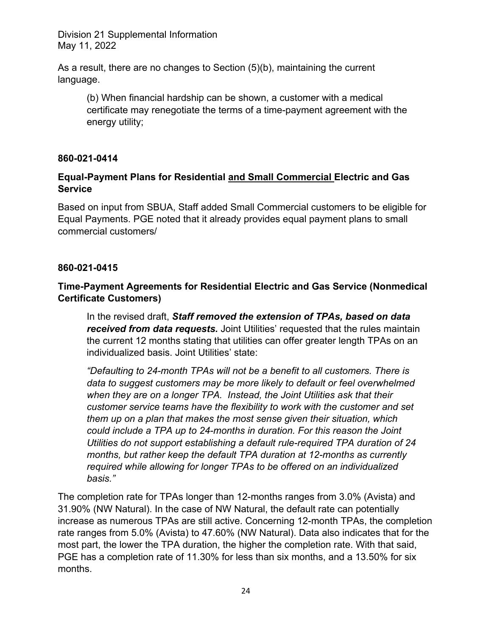As a result, there are no changes to Section (5)(b), maintaining the current language.

(b) When financial hardship can be shown, a customer with a medical certificate may renegotiate the terms of a time-payment agreement with the energy utility;

## **860-021-0414**

# **Equal-Payment Plans for Residential and Small Commercial Electric and Gas Service**

Based on input from SBUA, Staff added Small Commercial customers to be eligible for Equal Payments. PGE noted that it already provides equal payment plans to small commercial customers/

## **860-021-0415**

# **Time-Payment Agreements for Residential Electric and Gas Service (Nonmedical Certificate Customers)**

In the revised draft, *Staff removed the extension of TPAs, based on data received from data requests.* Joint Utilities' requested that the rules maintain the current 12 months stating that utilities can offer greater length TPAs on an individualized basis. Joint Utilities' state:

*"Defaulting to 24-month TPAs will not be a benefit to all customers. There is data to suggest customers may be more likely to default or feel overwhelmed when they are on a longer TPA. Instead, the Joint Utilities ask that their customer service teams have the flexibility to work with the customer and set them up on a plan that makes the most sense given their situation, which could include a TPA up to 24-months in duration. For this reason the Joint Utilities do not support establishing a default rule-required TPA duration of 24 months, but rather keep the default TPA duration at 12-months as currently required while allowing for longer TPAs to be offered on an individualized basis."* 

The completion rate for TPAs longer than 12-months ranges from 3.0% (Avista) and 31.90% (NW Natural). In the case of NW Natural, the default rate can potentially increase as numerous TPAs are still active. Concerning 12-month TPAs, the completion rate ranges from 5.0% (Avista) to 47.60% (NW Natural). Data also indicates that for the most part, the lower the TPA duration, the higher the completion rate. With that said, PGE has a completion rate of 11.30% for less than six months, and a 13.50% for six months.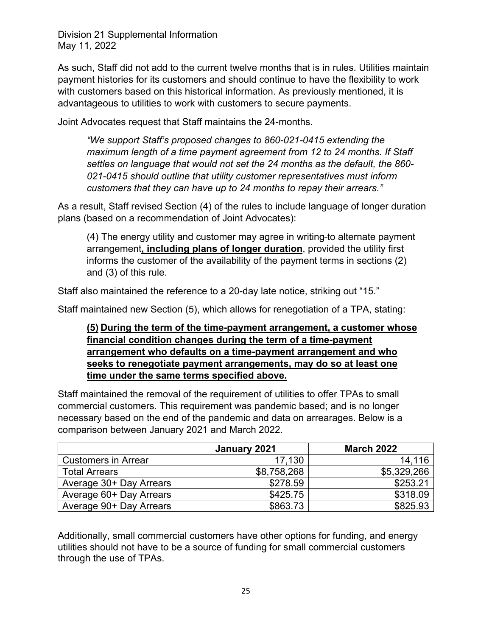As such, Staff did not add to the current twelve months that is in rules. Utilities maintain payment histories for its customers and should continue to have the flexibility to work with customers based on this historical information. As previously mentioned, it is advantageous to utilities to work with customers to secure payments.

Joint Advocates request that Staff maintains the 24-months.

*"We support Staff's proposed changes to 860-021-0415 extending the maximum length of a time payment agreement from 12 to 24 months. If Staff settles on language that would not set the 24 months as the default, the 860- 021-0415 should outline that utility customer representatives must inform customers that they can have up to 24 months to repay their arrears."* 

As a result, Staff revised Section (4) of the rules to include language of longer duration plans (based on a recommendation of Joint Advocates):

(4) The energy utility and customer may agree in writing to alternate payment arrangement**, including plans of longer duration**, provided the utility first informs the customer of the availability of the payment terms in sections (2) and (3) of this rule.

Staff also maintained the reference to a 20-day late notice, striking out "15."

Staff maintained new Section (5), which allows for renegotiation of a TPA, stating:

**(5) During the term of the time-payment arrangement, a customer whose financial condition changes during the term of a time-payment arrangement who defaults on a time-payment arrangement and who seeks to renegotiate payment arrangements, may do so at least one time under the same terms specified above.** 

Staff maintained the removal of the requirement of utilities to offer TPAs to small commercial customers. This requirement was pandemic based; and is no longer necessary based on the end of the pandemic and data on arrearages. Below is a comparison between January 2021 and March 2022.

|                            | January 2021 | <b>March 2022</b> |
|----------------------------|--------------|-------------------|
| <b>Customers in Arrear</b> | 17,130       | 14,116            |
| <b>Total Arrears</b>       | \$8,758,268  | \$5,329,266       |
| Average 30+ Day Arrears    | \$278.59     | \$253.21          |
| Average 60+ Day Arrears    | \$425.75     | \$318.09          |
| Average 90+ Day Arrears    | \$863.73     | \$825.93          |

Additionally, small commercial customers have other options for funding, and energy utilities should not have to be a source of funding for small commercial customers through the use of TPAs.